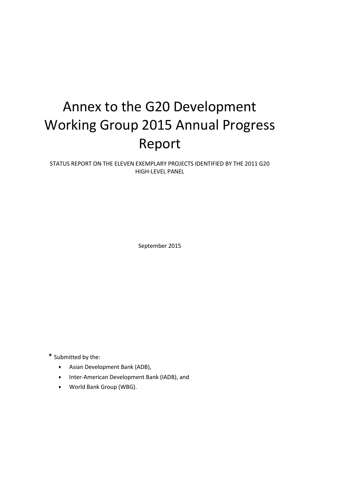# Annex to the G20 Development Working Group 2015 Annual Progress Report

STATUS REPORT ON THE ELEVEN EXEMPLARY PROJECTS IDENTIFIED BY THE 2011 G20 HIGH-LEVEL PANEL

September 2015

\* Submitted by the:

- Asian Development Bank (ADB),
- Inter-American Development Bank (IADB), and
- World Bank Group (WBG).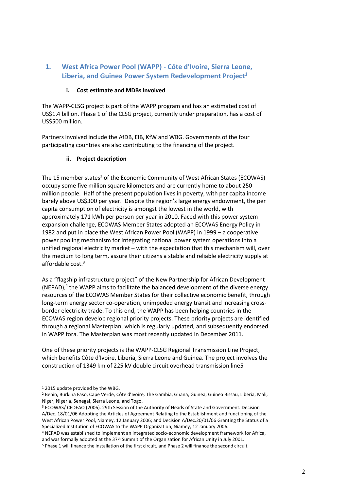# **1. West Africa Power Pool (WAPP) - Côte d'Ivoire, Sierra Leone, Liberia, and Guinea Power System Redevelopment Project<sup>1</sup>**

#### **i. Cost estimate and MDBs involved**

The WAPP-CLSG project is part of the WAPP program and has an estimated cost of US\$1.4 billion. Phase 1 of the CLSG project, currently under preparation, has a cost of US\$500 million.

Partners involved include the AfDB, EIB, KfW and WBG. Governments of the four participating countries are also contributing to the financing of the project.

#### **ii. Project description**

The 15 member states<sup>2</sup> of the Economic Community of West African States (ECOWAS) occupy some five million square kilometers and are currently home to about 250 million people. Half of the present population lives in poverty, with per capita income barely above US\$300 per year. Despite the region's large energy endowment, the per capita consumption of electricity is amongst the lowest in the world, with approximately 171 kWh per person per year in 2010. Faced with this power system expansion challenge, ECOWAS Member States adopted an ECOWAS Energy Policy in 1982 and put in place the West African Power Pool (WAPP) in 1999 – a cooperative power pooling mechanism for integrating national power system operations into a unified regional electricity market – with the expectation that this mechanism will, over the medium to long term, assure their citizens a stable and reliable electricity supply at affordable cost.<sup>3</sup>

As a "flagship infrastructure project" of the New Partnership for African Development (NEPAD), $<sup>4</sup>$  the WAPP aims to facilitate the balanced development of the diverse energy</sup> resources of the ECOWAS Member States for their collective economic benefit, through long-term energy sector co-operation, unimpeded energy transit and increasing crossborder electricity trade. To this end, the WAPP has been helping countries in the ECOWAS region develop regional priority projects. These priority projects are identified through a regional Masterplan, which is regularly updated, and subsequently endorsed in WAPP fora. The Masterplan was most recently updated in December 2011.

One of these priority projects is the WAPP-CLSG Regional Transmission Line Project, which benefits Côte d'Ivoire, Liberia, Sierra Leone and Guinea. The project involves the construction of 1349 km of 225 kV double circuit overhead transmission line5

 $\overline{\phantom{a}}$ 

<sup>&</sup>lt;sup>1</sup> 2015 update provided by the WBG.

<sup>&</sup>lt;sup>2</sup> Benin, Burkina Faso, Cape Verde, Côte d'Ivoire, The Gambia, Ghana, Guinea, Guinea Bissau, Liberia, Mali, Niger, Nigeria, Senegal, Sierra Leone, and Togo.

<sup>3</sup> ECOWAS/ CEDEAO (2006). 29th Session of the Authority of Heads of State and Government. Decision A/Dec. 18/01/06 Adopting the Articles of Agreement Relating to the Establishment and functioning of the West African Power Pool, Niamey, 12 January 2006; and Decision A/Dec.20/01/06 Granting the Status of a Specialized Institution of ECOWAS to the WAPP Organization, Niamey, 12 January 2006.

<sup>4</sup> NEPAD was established to implement an integrated socio-economic development framework for Africa, and was formally adopted at the 37th Summit of the Organisation for African Unity in July 2001.

<sup>5</sup> Phase 1 will finance the installation of the first circuit, and Phase 2 will finance the second circuit.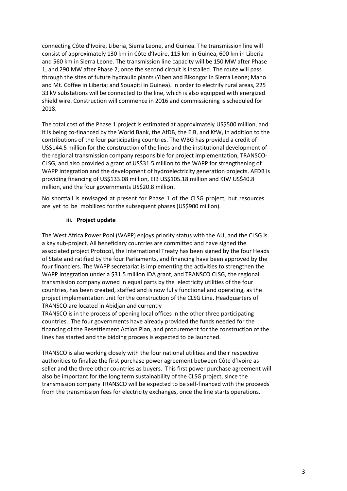connecting Côte d'Ivoire, Liberia, Sierra Leone, and Guinea. The transmission line will consist of approximately 130 km in Côte d'Ivoire, 115 km in Guinea, 600 km in Liberia and 560 km in Sierra Leone. The transmission line capacity will be 150 MW after Phase 1, and 290 MW after Phase 2, once the second circuit is installed. The route will pass through the sites of future hydraulic plants (Yiben and Bikongor in Sierra Leone; Mano and Mt. Coffee in Liberia; and Souapiti in Guinea). In order to electrify rural areas, 225 33 kV substations will be connected to the line, which is also equipped with energized shield wire. Construction will commence in 2016 and commissioning is scheduled for 2018.

The total cost of the Phase 1 project is estimated at approximately US\$500 million, and it is being co-financed by the World Bank, the AfDB, the EIB, and KfW, in addition to the contributions of the four participating countries. The WBG has provided a credit of US\$144.5 million for the construction of the lines and the institutional development of the regional transmission company responsible for project implementation, TRANSCO-CLSG, and also provided a grant of US\$31.5 million to the WAPP for strengthening of WAPP integration and the development of hydroelectricity generation projects. AFDB is providing financing of US\$133.08 million, EIB US\$105.18 million and KfW US\$40.8 million, and the four governments US\$20.8 million.

No shortfall is envisaged at present for Phase 1 of the CLSG project, but resources are yet to be mobilized for the subsequent phases (US\$900 million).

#### **iii. Project update**

The West Africa Power Pool (WAPP) enjoys priority status with the AU, and the CLSG is a key sub-project. All beneficiary countries are committed and have signed the associated project Protocol, the International Treaty has been signed by the four Heads of State and ratified by the four Parliaments, and financing have been approved by the four financiers. The WAPP secretariat is implementing the activities to strengthen the WAPP integration under a \$31.5 million IDA grant, and TRANSCO CLSG, the regional transmission company owned in equal parts by the electricity utilities of the four countries, has been created, staffed and is now fully functional and operating, as the project implementation unit for the construction of the CLSG Line. Headquarters of TRANSCO are located in Abidjan and currently

TRANSCO is in the process of opening local offices in the other three participating countries. The four governments have already provided the funds needed for the financing of the Resettlement Action Plan, and procurement for the construction of the lines has started and the bidding process is expected to be launched.

TRANSCO is also working closely with the four national utilities and their respective authorities to finalize the first purchase power agreement between Côte d'Ivoire as seller and the three other countries as buyers. This first power purchase agreement will also be important for the long term sustainability of the CLSG project, since the transmission company TRANSCO will be expected to be self-financed with the proceeds from the transmission fees for electricity exchanges, once the line starts operations.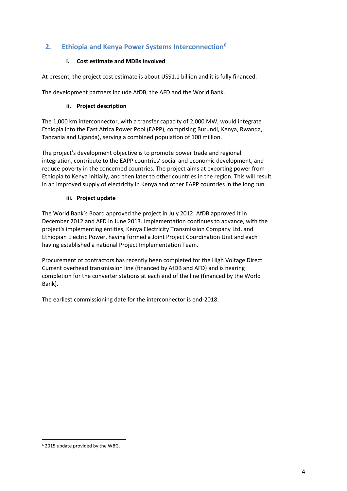# **2. Ethiopia and Kenya Power Systems Interconnection<sup>6</sup>**

#### **i. Cost estimate and MDBs involved**

At present, the project cost estimate is about US\$1.1 billion and it is fully financed.

The development partners include AfDB, the AFD and the World Bank.

#### **ii. Project description**

The 1,000 km interconnector, with a transfer capacity of 2,000 MW, would integrate Ethiopia into the East Africa Power Pool (EAPP), comprising Burundi, Kenya, Rwanda, Tanzania and Uganda), serving a combined population of 100 million.

The project's development objective is to promote power trade and regional integration, contribute to the EAPP countries' social and economic development, and reduce poverty in the concerned countries. The project aims at exporting power from Ethiopia to Kenya initially, and then later to other countries in the region. This will result in an improved supply of electricity in Kenya and other EAPP countries in the long run.

#### **iii. Project update**

The World Bank's Board approved the project in July 2012. AfDB approved it in December 2012 and AFD in June 2013. Implementation continues to advance, with the project's implementing entities, Kenya Electricity Transmission Company Ltd. and Ethiopian Electric Power, having formed a Joint Project Coordination Unit and each having established a national Project Implementation Team.

Procurement of contractors has recently been completed for the High Voltage Direct Current overhead transmission line (financed by AfDB and AFD) and is nearing completion for the converter stations at each end of the line (financed by the World Bank).

The earliest commissioning date for the interconnector is end-2018.

<sup>6</sup> 2015 update provided by the WBG.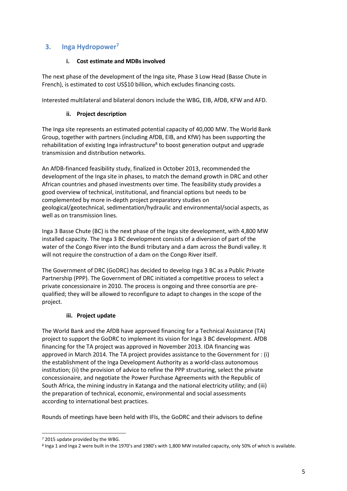## **3. Inga Hydropower<sup>7</sup>**

#### **i. Cost estimate and MDBs involved**

The next phase of the development of the Inga site, Phase 3 Low Head (Basse Chute in French), is estimated to cost US\$10 billion, which excludes financing costs.

Interested multilateral and bilateral donors include the WBG, EIB, AfDB, KFW and AFD.

#### **ii. Project description**

The Inga site represents an estimated potential capacity of 40,000 MW. The World Bank Group, together with partners (including AfDB, EIB, and KfW) has been supporting the rehabilitation of existing Inga infrastructure<sup>8</sup> to boost generation output and upgrade transmission and distribution networks.

An AfDB-financed feasibility study, finalized in October 2013, recommended the development of the Inga site in phases, to match the demand growth in DRC and other African countries and phased investments over time. The feasibility study provides a good overview of technical, institutional, and financial options but needs to be complemented by more in-depth project preparatory studies on geological/geotechnical, sedimentation/hydraulic and environmental/social aspects, as well as on transmission lines.

Inga 3 Basse Chute (BC) is the next phase of the Inga site development, with 4,800 MW installed capacity. The Inga 3 BC development consists of a diversion of part of the water of the Congo River into the Bundi tributary and a dam across the Bundi valley. It will not require the construction of a dam on the Congo River itself.

The Government of DRC (GoDRC) has decided to develop Inga 3 BC as a Public Private Partnership (PPP). The Government of DRC initiated a competitive process to select a private concessionaire in 2010. The process is ongoing and three consortia are prequalified; they will be allowed to reconfigure to adapt to changes in the scope of the project.

#### **iii. Project update**

The World Bank and the AfDB have approved financing for a Technical Assistance (TA) project to support the GoDRC to implement its vision for Inga 3 BC development. AfDB financing for the TA project was approved in November 2013. IDA financing was approved in March 2014. The TA project provides assistance to the Government for : (i) the establishment of the Inga Development Authority as a world-class autonomous institution; (ii) the provision of advice to refine the PPP structuring, select the private concessionaire, and negotiate the Power Purchase Agreements with the Republic of South Africa, the mining industry in Katanga and the national electricity utility; and (iii) the preparation of technical, economic, environmental and social assessments according to international best practices.

Rounds of meetings have been held with IFIs, the GoDRC and their advisors to define

<sup>7</sup> 2015 update provided by the WBG.

<sup>8</sup> Inga 1 and Inga 2 were built in the 1970's and 1980's with 1,800 MW installed capacity, only 50% of which is available.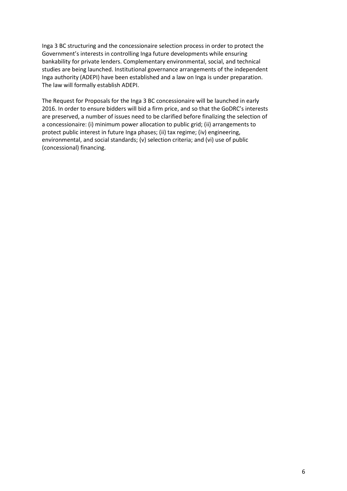Inga 3 BC structuring and the concessionaire selection process in order to protect the Government's interests in controlling Inga future developments while ensuring bankability for private lenders. Complementary environmental, social, and technical studies are being launched. Institutional governance arrangements of the independent Inga authority (ADEPI) have been established and a law on Inga is under preparation. The law will formally establish ADEPI.

The Request for Proposals for the Inga 3 BC concessionaire will be launched in early 2016. In order to ensure bidders will bid a firm price, and so that the GoDRC's interests are preserved, a number of issues need to be clarified before finalizing the selection of a concessionaire: (i) minimum power allocation to public grid; (ii) arrangements to protect public interest in future Inga phases; (ii) tax regime; (iv) engineering, environmental, and social standards; (v) selection criteria; and (vi) use of public (concessional) financing.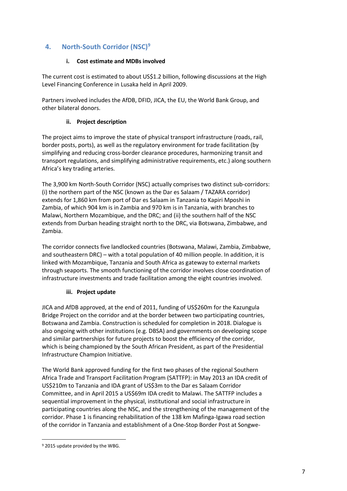# **4. North-South Corridor (NSC)<sup>9</sup>**

#### **i. Cost estimate and MDBs involved**

The current cost is estimated to about US\$1.2 billion, following discussions at the High Level Financing Conference in Lusaka held in April 2009.

Partners involved includes the AfDB, DFID, JICA, the EU, the World Bank Group, and other bilateral donors.

#### **ii. Project description**

The project aims to improve the state of physical transport infrastructure (roads, rail, border posts, ports), as well as the regulatory environment for trade facilitation (by simplifying and reducing cross-border clearance procedures, harmonizing transit and transport regulations, and simplifying administrative requirements, etc.) along southern Africa's key trading arteries.

The 3,900 km North-South Corridor (NSC) actually comprises two distinct sub-corridors: (i) the northern part of the NSC (known as the Dar es Salaam / TAZARA corridor) extends for 1,860 km from port of Dar es Salaam in Tanzania to Kapiri Mposhi in Zambia, of which 904 km is in Zambia and 970 km is in Tanzania, with branches to Malawi, Northern Mozambique, and the DRC; and (ii) the southern half of the NSC extends from Durban heading straight north to the DRC, via Botswana, Zimbabwe, and Zambia.

The corridor connects five landlocked countries (Botswana, Malawi, Zambia, Zimbabwe, and southeastern DRC) – with a total population of 40 million people. In addition, it is linked with Mozambique, Tanzania and South Africa as gateway to external markets through seaports. The smooth functioning of the corridor involves close coordination of infrastructure investments and trade facilitation among the eight countries involved.

#### **iii. Project update**

JICA and AfDB approved, at the end of 2011, funding of US\$260m for the Kazungula Bridge Project on the corridor and at the border between two participating countries, Botswana and Zambia. Construction is scheduled for completion in 2018. Dialogue is also ongoing with other institutions (e.g. DBSA) and governments on developing scope and similar partnerships for future projects to boost the efficiency of the corridor, which is being championed by the South African President, as part of the Presidential Infrastructure Champion Initiative.

The World Bank approved funding for the first two phases of the regional Southern Africa Trade and Transport Facilitation Program (SATTFP): in May 2013 an IDA credit of US\$210m to Tanzania and IDA grant of US\$3m to the Dar es Salaam Corridor Committee, and in April 2015 a US\$69m IDA credit to Malawi. The SATTFP includes a sequential improvement in the physical, institutional and social infrastructure in participating countries along the NSC, and the strengthening of the management of the corridor. Phase 1 is financing rehabilitation of the 138 km Mafinga-Igawa road section of the corridor in Tanzania and establishment of a One-Stop Border Post at Songwe-

<sup>&</sup>lt;sup>9</sup> 2015 update provided by the WBG.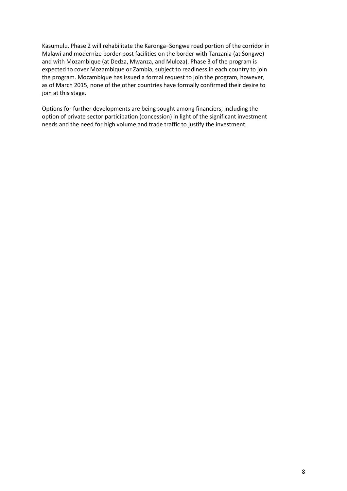Kasumulu. Phase 2 will rehabilitate the Karonga–Songwe road portion of the corridor in Malawi and modernize border post facilities on the border with Tanzania (at Songwe) and with Mozambique (at Dedza, Mwanza, and Muloza). Phase 3 of the program is expected to cover Mozambique or Zambia, subject to readiness in each country to join the program. Mozambique has issued a formal request to join the program, however, as of March 2015, none of the other countries have formally confirmed their desire to join at this stage.

Options for further developments are being sought among financiers, including the option of private sector participation (concession) in light of the significant investment needs and the need for high volume and trade traffic to justify the investment.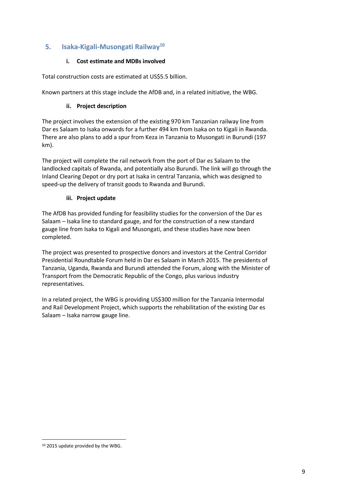## **5. Isaka-Kigali-Musongati Railway<sup>10</sup>**

#### **i. Cost estimate and MDBs involved**

Total construction costs are estimated at US\$5.5 billion.

Known partners at this stage include the AfDB and, in a related initiative, the WBG.

#### **ii. Project description**

The project involves the extension of the existing 970 km Tanzanian railway line from Dar es Salaam to Isaka onwards for a further 494 km from Isaka on to Kigali in Rwanda. There are also plans to add a spur from Keza in Tanzania to Musongati in Burundi (197 km).

The project will complete the rail network from the port of Dar es Salaam to the landlocked capitals of Rwanda, and potentially also Burundi. The link will go through the Inland Clearing Depot or dry port at Isaka in central Tanzania, which was designed to speed-up the delivery of transit goods to Rwanda and Burundi.

#### **iii. Project update**

The AfDB has provided funding for feasibility studies for the conversion of the Dar es Salaam – Isaka line to standard gauge, and for the construction of a new standard gauge line from Isaka to Kigali and Musongati, and these studies have now been completed.

The project was presented to prospective donors and investors at the Central Corridor Presidential Roundtable Forum held in Dar es Salaam in March 2015. The presidents of Tanzania, Uganda, Rwanda and Burundi attended the Forum, along with the Minister of Transport from the Democratic Republic of the Congo, plus various industry representatives.

In a related project, the WBG is providing US\$300 million for the Tanzania Intermodal and Rail Development Project, which supports the rehabilitation of the existing Dar es Salaam – Isaka narrow gauge line.

<sup>10 2015</sup> update provided by the WBG.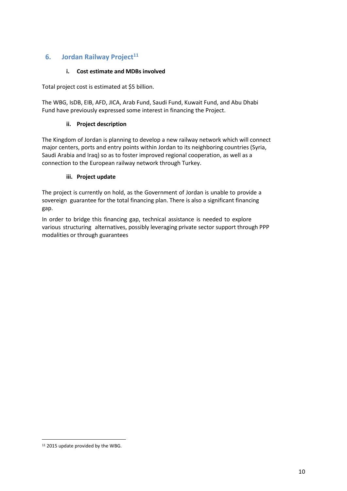# **6. Jordan Railway Project<sup>11</sup>**

### **i. Cost estimate and MDBs involved**

Total project cost is estimated at \$5 billion.

The WBG, IsDB, EIB, AFD, JICA, Arab Fund, Saudi Fund, Kuwait Fund, and Abu Dhabi Fund have previously expressed some interest in financing the Project.

#### **ii. Project description**

The Kingdom of Jordan is planning to develop a new railway network which will connect major centers, ports and entry points within Jordan to its neighboring countries (Syria, Saudi Arabia and Iraq) so as to foster improved regional cooperation, as well as a connection to the European railway network through Turkey.

#### **iii. Project update**

The project is currently on hold, as the Government of Jordan is unable to provide a sovereign guarantee for the total financing plan. There is also a significant financing gap.

In order to bridge this financing gap, technical assistance is needed to explore various structuring alternatives, possibly leveraging private sector support through PPP modalities or through guarantees

 $\overline{a}$ 11 2015 update provided by the WBG.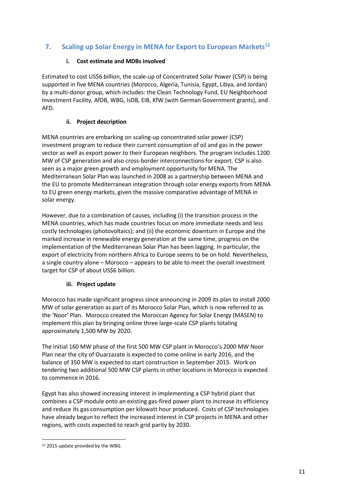# **7. Scaling up Solar Energy in MENA for Export to European Markets<sup>12</sup>**

### **i. Cost estimate and MDBs involved**

Estimated to cost US\$6 billion, the scale-up of Concentrated Solar Power (CSP) is being supported in five MENA countries (Morocco, Algeria, Tunisia, Egypt, Libya, and Jordan) by a multi-donor group, which includes: the Clean Technology Fund, EU Neighborhood Investment Facility, AfDB, WBG, IsDB, EIB, KfW (with German Government grants), and AFD.

## **ii. Project description**

MENA countries are embarking on scaling-up concentrated solar power (CSP) investment program to reduce their current consumption of oil and gas in the power sector as well as export power to their European neighbors. The program includes 1200 MW of CSP generation and also cross-border interconnections for export. CSP is also seen as a major green growth and employment opportunity for MENA. The Mediterranean Solar Plan was launched in 2008 as a partnership between MENA and the EU to promote Mediterranean integration through solar energy exports from MENA to EU green energy markets, given the massive comparative advantage of MENA in solar energy.

However, due to a combination of causes, including (i) the transition process in the MENA countries, which has made countries focus on more immediate needs and less costly technologies (photovoltaics); and (ii) the economic downturn in Europe and the marked increase in renewable energy generation at the same time, progress on the implementation of the Mediterranean Solar Plan has been lagging. In particular, the export of electricity from northern Africa to Europe seems to be on hold. Nevertheless, a single country alone – Morocco – appears to be able to meet the overall investment target for CSP of about US\$6 billion.

## **iii. Project update**

Morocco has made significant progress since announcing in 2009 its plan to install 2000 MW of solar generation as part of its Morocco Solar Plan, which is now referred to as the 'Noor' Plan. Morocco created the Moroccan Agency for Solar Energy (MASEN) to implement this plan by bringing online three large-scale CSP plants totaling approximately 1,500 MW by 2020.

The initial 160 MW phase of the first 500 MW CSP plant in Morocco's 2000 MW Noor Plan near the city of Ouarzazate is expected to come online in early 2016, and the balance of 350 MW is expected to start construction in September 2015. Work on tendering two additional 500 MW CSP plants in other locations in Morocco is expected to commence in 2016.

Egypt has also showed increasing interest in implementing a CSP hybrid plant that combines a CSP module onto an existing gas-fired power plant to increase its efficiency and reduce its gas consumption per kilowatt hour produced. Costs of CSP technologies have already begun to reflect the increased interest in CSP projects in MENA and other regions, with costs expected to reach grid parity by 2030.

 $\overline{a}$ 12 2015 update provided by the WBG.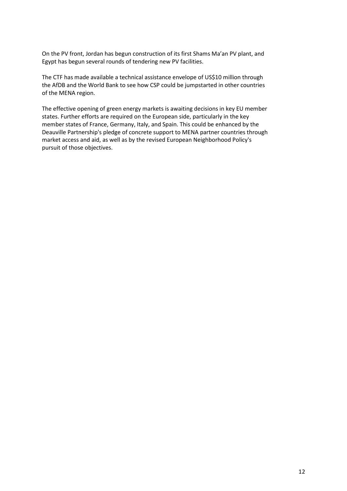On the PV front, Jordan has begun construction of its first Shams Ma'an PV plant, and Egypt has begun several rounds of tendering new PV facilities.

The CTF has made available a technical assistance envelope of US\$10 million through the AfDB and the World Bank to see how CSP could be jumpstarted in other countries of the MENA region.

The effective opening of green energy markets is awaiting decisions in key EU member states. Further efforts are required on the European side, particularly in the key member states of France, Germany, Italy, and Spain. This could be enhanced by the Deauville Partnership's pledge of concrete support to MENA partner countries through market access and aid, as well as by the revised European Neighborhood Policy's pursuit of those objectives.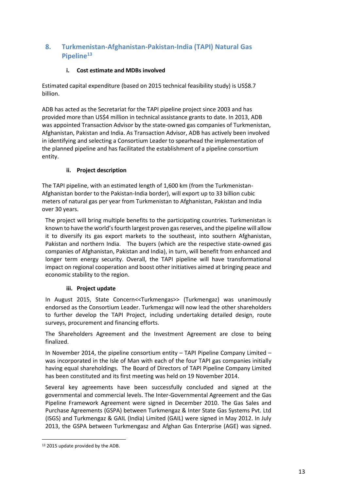# **8. Turkmenistan-Afghanistan-Pakistan-India (TAPI) Natural Gas Pipeline<sup>13</sup>**

## **i. Cost estimate and MDBs involved**

Estimated capital expenditure (based on 2015 technical feasibility study) is US\$8.7 billion.

ADB has acted as the Secretariat for the TAPI pipeline project since 2003 and has provided more than US\$4 million in technical assistance grants to date. In 2013, ADB was appointed Transaction Advisor by the state-owned gas companies of Turkmenistan, Afghanistan, Pakistan and India. As Transaction Advisor, ADB has actively been involved in identifying and selecting a Consortium Leader to spearhead the implementation of the planned pipeline and has facilitated the establishment of a pipeline consortium entity.

## **ii. Project description**

The TAPI pipeline, with an estimated length of 1,600 km (from the Turkmenistan-Afghanistan border to the Pakistan-India border), will export up to 33 billion cubic meters of natural gas per year from Turkmenistan to Afghanistan, Pakistan and India over 30 years.

The project will bring multiple benefits to the participating countries. Turkmenistan is known to have the world's fourth largest proven gas reserves, and the pipeline will allow it to diversify its gas export markets to the southeast, into southern Afghanistan, Pakistan and northern India. The buyers (which are the respective state-owned gas companies of Afghanistan, Pakistan and India), in turn, will benefit from enhanced and longer term energy security. Overall, the TAPI pipeline will have transformational impact on regional cooperation and boost other initiatives aimed at bringing peace and economic stability to the region.

#### **iii. Project update**

In August 2015, State Concern<<Turkmengas>> (Turkmengaz) was unanimously endorsed as the Consortium Leader. Turkmengaz will now lead the other shareholders to further develop the TAPI Project, including undertaking detailed design, route surveys, procurement and financing efforts.

The Shareholders Agreement and the Investment Agreement are close to being finalized.

In November 2014, the pipeline consortium entity – TAPI Pipeline Company Limited – was incorporated in the Isle of Man with each of the four TAPI gas companies initially having equal shareholdings. The Board of Directors of TAPI Pipeline Company Limited has been constituted and its first meeting was held on 19 November 2014.

Several key agreements have been successfully concluded and signed at the governmental and commercial levels. The Inter-Governmental Agreement and the Gas Pipeline Framework Agreement were signed in December 2010. The Gas Sales and Purchase Agreements (GSPA) between Turkmengaz & Inter State Gas Systems Pvt. Ltd (ISGS) and Turkmengaz & GAIL (India) Limited (GAIL) were signed in May 2012. In July 2013, the GSPA between Turkmengasz and Afghan Gas Enterprise (AGE) was signed.

<sup>&</sup>lt;sup>13</sup> 2015 update provided by the ADB.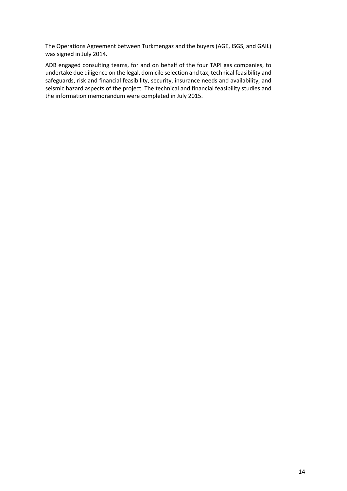The Operations Agreement between Turkmengaz and the buyers (AGE, ISGS, and GAIL) was signed in July 2014.

ADB engaged consulting teams, for and on behalf of the four TAPI gas companies, to undertake due diligence on the legal, domicile selection and tax, technical feasibility and safeguards, risk and financial feasibility, security, insurance needs and availability, and seismic hazard aspects of the project. The technical and financial feasibility studies and the information memorandum were completed in July 2015.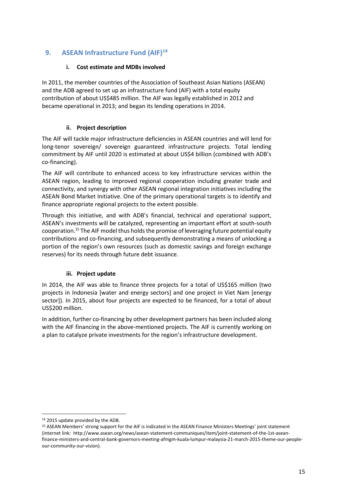# **9. ASEAN Infrastructure Fund (AIF)<sup>14</sup>**

### **i. Cost estimate and MDBs involved**

In 2011, the member countries of the Association of Southeast Asian Nations (ASEAN) and the ADB agreed to set up an infrastructure fund (AIF) with a total equity contribution of about US\$485 million. The AIF was legally established in 2012 and became operational in 2013; and began its lending operations in 2014.

#### **ii. Project description**

The AIF will tackle major infrastructure deficiencies in ASEAN countries and will lend for long-tenor sovereign/ sovereign guaranteed infrastructure projects. Total lending commitment by AIF until 2020 is estimated at about US\$4 billion (combined with ADB's co-financing).

The AIF will contribute to enhanced access to key infrastructure services within the ASEAN region, leading to improved regional cooperation including greater trade and connectivity, and synergy with other ASEAN regional integration initiatives including the ASEAN Bond Market Initiative. One of the primary operational targets is to identify and finance appropriate regional projects to the extent possible.

Through this initiative, and with ADB's financial, technical and operational support, ASEAN's investments will be catalyzed, representing an important effort at south-south cooperation.<sup>15</sup> The AIF model thus holds the promise of leveraging future potential equity contributions and co-financing, and subsequently demonstrating a means of unlocking a portion of the region's own resources (such as domestic savings and foreign exchange reserves) for its needs through future debt issuance.

#### **iii. Project update**

In 2014, the AIF was able to finance three projects for a total of US\$165 million (two projects in Indonesia [water and energy sectors] and one project in Viet Nam [energy sector]). In 2015, about four projects are expected to be financed, for a total of about US\$200 million.

In addition, further co-financing by other development partners has been included along with the AIF financing in the above-mentioned projects. The AIF is currently working on a plan to catalyze private investments for the region's infrastructure development.

 $\overline{a}$ <sup>14</sup> 2015 update provided by the ADB.

<sup>&</sup>lt;sup>15</sup> ASEAN Members' strong support for the AIF is indicated in the ASEAN Finance Ministers Meetings' joint statement (internet link: http://www.asean.org/news/asean-statement-communiques/item/joint-statement-of-the-1st-aseanfinance-ministers-and-central-bank-governors-meeting-afmgm-kuala-lumpur-malaysia-21-march-2015-theme-our-peopleour-community-our-vision).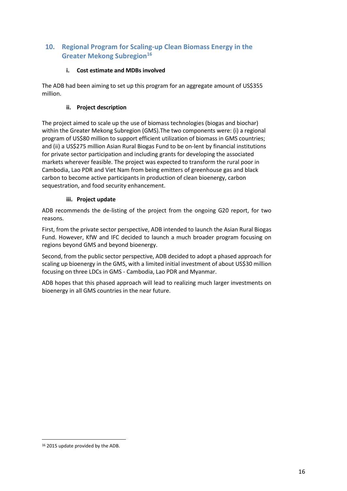# **10. Regional Program for Scaling-up Clean Biomass Energy in the Greater Mekong Subregion<sup>16</sup>**

## **i. Cost estimate and MDBs involved**

The ADB had been aiming to set up this program for an aggregate amount of US\$355 million.

## **ii. Project description**

The project aimed to scale up the use of biomass technologies (biogas and biochar) within the Greater Mekong Subregion (GMS).The two components were: (i) a regional program of US\$80 million to support efficient utilization of biomass in GMS countries; and (ii) a US\$275 million Asian Rural Biogas Fund to be on-lent by financial institutions for private sector participation and including grants for developing the associated markets wherever feasible. The project was expected to transform the rural poor in Cambodia, Lao PDR and Viet Nam from being emitters of greenhouse gas and black carbon to become active participants in production of clean bioenergy, carbon sequestration, and food security enhancement.

## **iii. Project update**

ADB recommends the de-listing of the project from the ongoing G20 report, for two reasons.

First, from the private sector perspective, ADB intended to launch the Asian Rural Biogas Fund. However, KfW and IFC decided to launch a much broader program focusing on regions beyond GMS and beyond bioenergy.

Second, from the public sector perspective, ADB decided to adopt a phased approach for scaling up bioenergy in the GMS, with a limited initial investment of about US\$30 million focusing on three LDCs in GMS - Cambodia, Lao PDR and Myanmar.

ADB hopes that this phased approach will lead to realizing much larger investments on bioenergy in all GMS countries in the near future.

<sup>16</sup> 2015 update provided by the ADB.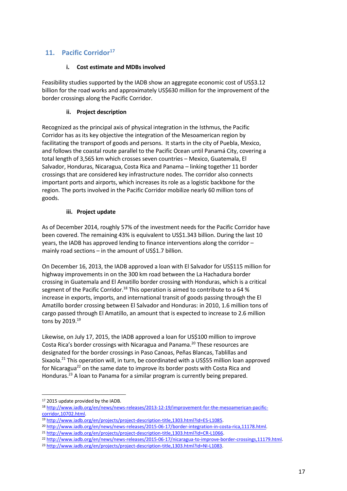# **11. Pacific Corridor<sup>17</sup>**

#### **i. Cost estimate and MDBs involved**

Feasibility studies supported by the IADB show an aggregate economic cost of US\$3.12 billion for the road works and approximately US\$630 million for the improvement of the border crossings along the Pacific Corridor.

#### **ii. Project description**

Recognized as the principal axis of physical integration in the Isthmus, the Pacific Corridor has as its key objective the integration of the Mesoamerican region by facilitating the transport of goods and persons. It starts in the city of Puebla, Mexico, and follows the coastal route parallel to the Pacific Ocean until Panamá City, covering a total length of 3,565 km which crosses seven countries – Mexico, Guatemala, El Salvador, Honduras, Nicaragua, Costa Rica and Panama – linking together 11 border crossings that are considered key infrastructure nodes. The corridor also connects important ports and airports, which increases its role as a logistic backbone for the region. The ports involved in the Pacific Corridor mobilize nearly 60 million tons of goods.

#### **iii. Project update**

As of December 2014, roughly 57% of the investment needs for the Pacific Corridor have been covered. The remaining 43% is equivalent to US\$1.343 billion. During the last 10 years, the IADB has approved lending to finance interventions along the corridor – mainly road sections – in the amount of US\$1.7 billion.

On December 16, 2013, the IADB approved a loan with El Salvador for US\$115 million for highway improvements in on the 300 km road between the La Hachadura border crossing in Guatemala and El Amatillo border crossing with Honduras, which is a critical segment of the Pacific Corridor.<sup>18</sup> This operation is aimed to contribute to a 64 % increase in exports, imports, and international transit of goods passing through the El Amatillo border crossing between El Salvador and Honduras: in 2010, 1.6 million tons of cargo passed through El Amatillo, an amount that is expected to increase to 2.6 million tons by 2019.<sup>19</sup>

Likewise, on July 17, 2015, the IADB approved a loan for US\$100 million to improve Costa Rica's border crossings with Nicaragua and Panama.<sup>20</sup> These resources are designated for the border crossings in Paso Canoas, Peñas Blancas, Tablillas and Sixaola.<sup>21</sup> This operation will, in turn, be coordinated with a US\$55 million loan approved for Nicaragua<sup>22</sup> on the same date to improve its border posts with Costa Rica and Honduras.<sup>23</sup> A loan to Panama for a similar program is currently being prepared.

<sup>&</sup>lt;sup>17</sup> 2015 update provided by the IADB.

<sup>18</sup> [http://www.iadb.org/en/news/news-releases/2013-12-19/improvement-for-the-mesoamerican-pacific](http://www.iadb.org/en/news/news-releases/2013-12-19/improvement-for-the-mesoamerican-pacific-corridor,10702.html)[corridor,10702.html.](http://www.iadb.org/en/news/news-releases/2013-12-19/improvement-for-the-mesoamerican-pacific-corridor,10702.html)

<sup>19</sup> [http://www.iadb.org/en/projects/project-description-title,1303.html?id=ES-L1085.](http://www.iadb.org/en/projects/project-description-title,1303.html?id=ES-L1085)

<sup>20</sup> [http://www.iadb.org/en/news/news-releases/2015-06-17/border-integration-in-costa-rica,11178.html.](http://www.iadb.org/en/news/news-releases/2015-06-17/border-integration-in-costa-rica,11178.html) 

<sup>21</sup> [http://www.iadb.org/en/projects/project-description-title,1303.html?id=CR-L1066.](http://www.iadb.org/en/projects/project-description-title,1303.html?id=CR-L1066)

<sup>22</sup> [http://www.iadb.org/en/news/news-releases/2015-06-17/nicaragua-to-improve-border-crossings,11179.html.](http://www.iadb.org/en/news/news-releases/2015-06-17/nicaragua-to-improve-border-crossings,11179.html)

<sup>23</sup> [http://www.iadb.org/en/projects/project-description-title,1303.html?id=NI-L1083.](http://www.iadb.org/en/projects/project-description-title,1303.html?id=NI-L1083)